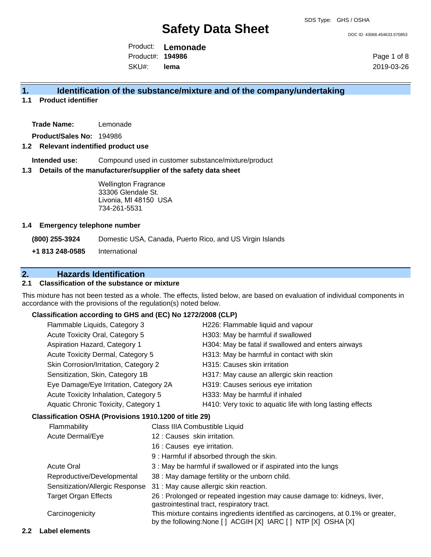DOC ID: 43068.454633.570853

Product: **Lemonade** SKU#: Product#: **194986 lema**

Page 1 of 8 2019-03-26

## **1. Identification of the substance/mixture and of the company/undertaking**

**1.1 Product identifier**

**Trade Name:** Lemonade

**Product/Sales No:** 194986

#### **1.2 Relevant indentified product use**

**Intended use:** Compound used in customer substance/mixture/product

#### **1.3 Details of the manufacturer/supplier of the safety data sheet**

Wellington Fragrance 33306 Glendale St. Livonia, MI 48150 USA 734-261-5531

#### **1.4 Emergency telephone number**

**(800) 255-3924** Domestic USA, Canada, Puerto Rico, and US Virgin Islands **+1 813 248-0585** International

# **2. Hazards Identification**

### **2.1 Classification of the substance or mixture**

This mixture has not been tested as a whole. The effects, listed below, are based on evaluation of individual components in accordance with the provisions of the regulation(s) noted below.

#### **Classification according to GHS and (EC) No 1272/2008 (CLP)**

|                                       | Flammable Liquids, Category 3<br>Acute Toxicity Oral, Category 5<br>Aspiration Hazard, Category 1<br>Acute Toxicity Dermal, Category 5<br>Skin Corrosion/Irritation, Category 2<br>Sensitization, Skin, Category 1B<br>Eye Damage/Eye Irritation, Category 2A |                                                                                                                                                                                                                     | H226: Flammable liquid and vapour                                                                                                                 |
|---------------------------------------|---------------------------------------------------------------------------------------------------------------------------------------------------------------------------------------------------------------------------------------------------------------|---------------------------------------------------------------------------------------------------------------------------------------------------------------------------------------------------------------------|---------------------------------------------------------------------------------------------------------------------------------------------------|
|                                       |                                                                                                                                                                                                                                                               |                                                                                                                                                                                                                     | H303: May be harmful if swallowed                                                                                                                 |
|                                       |                                                                                                                                                                                                                                                               |                                                                                                                                                                                                                     | H304: May be fatal if swallowed and enters airways                                                                                                |
|                                       |                                                                                                                                                                                                                                                               |                                                                                                                                                                                                                     | H313: May be harmful in contact with skin                                                                                                         |
|                                       |                                                                                                                                                                                                                                                               |                                                                                                                                                                                                                     | H315: Causes skin irritation                                                                                                                      |
|                                       |                                                                                                                                                                                                                                                               |                                                                                                                                                                                                                     | H317: May cause an allergic skin reaction                                                                                                         |
|                                       |                                                                                                                                                                                                                                                               |                                                                                                                                                                                                                     | H319: Causes serious eye irritation                                                                                                               |
| Acute Toxicity Inhalation, Category 5 |                                                                                                                                                                                                                                                               |                                                                                                                                                                                                                     | H333: May be harmful if inhaled                                                                                                                   |
|                                       | Aquatic Chronic Toxicity, Category 1                                                                                                                                                                                                                          |                                                                                                                                                                                                                     | H410: Very toxic to aquatic life with long lasting effects                                                                                        |
|                                       | Classification OSHA (Provisions 1910.1200 of title 29)                                                                                                                                                                                                        |                                                                                                                                                                                                                     |                                                                                                                                                   |
|                                       | Flammability                                                                                                                                                                                                                                                  | Class IIIA Combustible Liquid                                                                                                                                                                                       |                                                                                                                                                   |
|                                       | 12 : Causes skin irritation.<br>Acute Dermal/Eye                                                                                                                                                                                                              |                                                                                                                                                                                                                     |                                                                                                                                                   |
|                                       |                                                                                                                                                                                                                                                               | 16 : Causes eye irritation.                                                                                                                                                                                         |                                                                                                                                                   |
|                                       |                                                                                                                                                                                                                                                               |                                                                                                                                                                                                                     | 9 : Harmful if absorbed through the skin.                                                                                                         |
| <b>Acute Oral</b>                     |                                                                                                                                                                                                                                                               |                                                                                                                                                                                                                     | 3 : May be harmful if swallowed or if aspirated into the lungs                                                                                    |
|                                       | Reproductive/Developmental                                                                                                                                                                                                                                    | 38 : May damage fertility or the unborn child.<br>31 : May cause allergic skin reaction.<br>26 : Prolonged or repeated ingestion may cause damage to: kidneys, liver,<br>gastrointestinal tract, respiratory tract. |                                                                                                                                                   |
|                                       | Sensitization/Allergic Response                                                                                                                                                                                                                               |                                                                                                                                                                                                                     |                                                                                                                                                   |
|                                       | <b>Target Organ Effects</b>                                                                                                                                                                                                                                   |                                                                                                                                                                                                                     |                                                                                                                                                   |
|                                       | Carcinogenicity                                                                                                                                                                                                                                               |                                                                                                                                                                                                                     | This mixture contains ingredients identified as carcinogens, at 0.1% or greater,<br>by the following:None [ ] ACGIH [X] IARC [ ] NTP [X] OSHA [X] |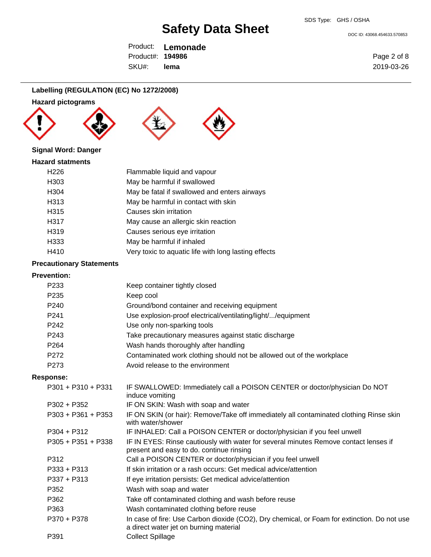DOC ID: 43068.454633.570853

Product: **Lemonade** SKU#: Product#: **194986 lema**

# **Labelling (REGULATION (EC) No 1272/2008)**

## **Hazard pictograms**







## **Signal Word: Danger**

#### **Hazard statments**

| H <sub>226</sub> | Flammable liquid and vapour                          |
|------------------|------------------------------------------------------|
| H <sub>303</sub> | May be harmful if swallowed                          |
| H304             | May be fatal if swallowed and enters airways         |
| H313             | May be harmful in contact with skin                  |
| H315             | Causes skin irritation                               |
| H317             | May cause an allergic skin reaction                  |
| H319             | Causes serious eye irritation                        |
| H333             | May be harmful if inhaled                            |
| H410             | Very toxic to aquatic life with long lasting effects |
|                  |                                                      |

## **Precautionary Statements**

## **Prevention:**

| P233             | Keep container tightly closed                                         |
|------------------|-----------------------------------------------------------------------|
| P <sub>235</sub> | Keep cool                                                             |
| P240             | Ground/bond container and receiving equipment                         |
| P <sub>241</sub> | Use explosion-proof electrical/ventilating/light//equipment           |
| P242             | Use only non-sparking tools                                           |
| P243             | Take precautionary measures against static discharge                  |
| P <sub>264</sub> | Wash hands thoroughly after handling                                  |
| P272             | Contaminated work clothing should not be allowed out of the workplace |
| P273             | Avoid release to the environment                                      |
|                  |                                                                       |

#### **Response:**

| $P301 + P310 + P331$ | IF SWALLOWED: Immediately call a POISON CENTER or doctor/physician Do NOT<br>induce vomiting                                          |
|----------------------|---------------------------------------------------------------------------------------------------------------------------------------|
| $P302 + P352$        | IF ON SKIN: Wash with soap and water                                                                                                  |
| $P303 + P361 + P353$ | IF ON SKIN (or hair): Remove/Take off immediately all contaminated clothing Rinse skin<br>with water/shower                           |
| $P304 + P312$        | IF INHALED: Call a POISON CENTER or doctor/physician if you feel unwell                                                               |
| $P305 + P351 + P338$ | IF IN EYES: Rinse cautiously with water for several minutes Remove contact lenses if<br>present and easy to do. continue rinsing      |
| P312                 | Call a POISON CENTER or doctor/physician if you feel unwell                                                                           |
| $P333 + P313$        | If skin irritation or a rash occurs: Get medical advice/attention                                                                     |
| $P337 + P313$        | If eye irritation persists: Get medical advice/attention                                                                              |
| P352                 | Wash with soap and water                                                                                                              |
| P362                 | Take off contaminated clothing and wash before reuse                                                                                  |
| P363                 | Wash contaminated clothing before reuse                                                                                               |
| P370 + P378          | In case of fire: Use Carbon dioxide (CO2), Dry chemical, or Foam for extinction. Do not use<br>a direct water jet on burning material |
| P391                 | <b>Collect Spillage</b>                                                                                                               |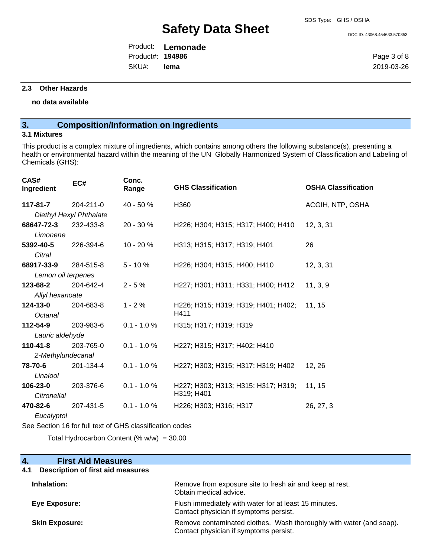DOC ID: 43068.454633.570853

Product: **Lemonade** SKU#: Product#: **194986 lema**

Page 3 of 8 2019-03-26

#### **2.3 Other Hazards**

#### **no data available**

# **3. Composition/Information on Ingredients**

#### **3.1 Mixtures**

This product is a complex mixture of ingredients, which contains among others the following substance(s), presenting a health or environmental hazard within the meaning of the UN Globally Harmonized System of Classification and Labeling of Chemicals (GHS):

| CAS#<br>Ingredient | EC#                     | Conc.<br>Range | <b>GHS Classification</b>           | <b>OSHA Classification</b> |
|--------------------|-------------------------|----------------|-------------------------------------|----------------------------|
| 117-81-7           | $204 - 211 - 0$         | $40 - 50%$     | H360                                | ACGIH, NTP, OSHA           |
|                    | Diethyl Hexyl Phthalate |                |                                     |                            |
| 68647-72-3         | 232-433-8               | $20 - 30 \%$   | H226; H304; H315; H317; H400; H410  | 12, 3, 31                  |
| Limonene           |                         |                |                                     |                            |
| 5392-40-5          | 226-394-6               | $10 - 20%$     | H313; H315; H317; H319; H401        | 26                         |
| Citral             |                         |                |                                     |                            |
| 68917-33-9         | 284-515-8               | $5 - 10%$      | H226; H304; H315; H400; H410        | 12, 3, 31                  |
| Lemon oil terpenes |                         |                |                                     |                            |
| 123-68-2           | 204-642-4               | $2 - 5%$       | H227; H301; H311; H331; H400; H412  | 11, 3, 9                   |
| Allyl hexanoate    |                         |                |                                     |                            |
| 124-13-0           | 204-683-8               | $1 - 2%$       | H226; H315; H319; H319; H401; H402; | 11, 15                     |
| Octanal            |                         |                | H411                                |                            |
| 112-54-9           | 203-983-6               | $0.1 - 1.0 %$  | H315; H317; H319; H319              |                            |
| Lauric aldehyde    |                         |                |                                     |                            |
| $110 - 41 - 8$     | 203-765-0               | $0.1 - 1.0 %$  | H227; H315; H317; H402; H410        |                            |
| 2-Methylundecanal  |                         |                |                                     |                            |
| 78-70-6            | 201-134-4               | $0.1 - 1.0 %$  | H227; H303; H315; H317; H319; H402  | 12, 26                     |
| Linalool           |                         |                |                                     |                            |
| 106-23-0           | 203-376-6               | $0.1 - 1.0 %$  | H227; H303; H313; H315; H317; H319; | 11, 15                     |
| Citronellal        |                         |                | H319; H401                          |                            |
| 470-82-6           | 207-431-5               | $0.1 - 1.0 %$  | H226; H303; H316; H317              | 26, 27, 3                  |
| Eucalyptol         |                         |                |                                     |                            |

See Section 16 for full text of GHS classification codes

Total Hydrocarbon Content (%  $w/w$ ) = 30.00

| <b>First Aid Measures</b><br>4.          |                                                                                                               |
|------------------------------------------|---------------------------------------------------------------------------------------------------------------|
| Description of first aid measures<br>4.1 |                                                                                                               |
| Inhalation:                              | Remove from exposure site to fresh air and keep at rest.<br>Obtain medical advice.                            |
| Eye Exposure:                            | Flush immediately with water for at least 15 minutes.<br>Contact physician if symptoms persist.               |
| <b>Skin Exposure:</b>                    | Remove contaminated clothes. Wash thoroughly with water (and soap).<br>Contact physician if symptoms persist. |
|                                          |                                                                                                               |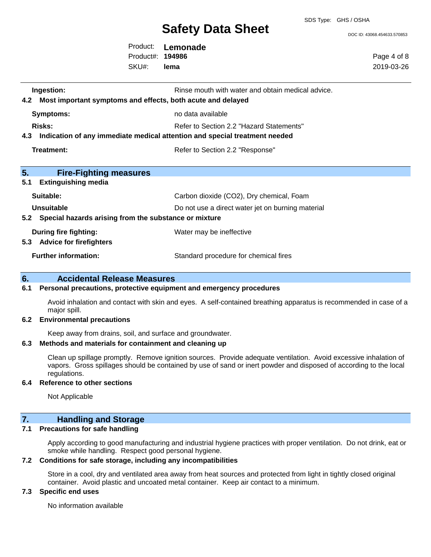SDS Type: GHS / OSHA

DOC ID: 43068.454633.570853

Product: **Lemonade** SKU#: Product#: **194986 lema**

Page 4 of 8 2019-03-26

| Ingestion:<br>Most important symptoms and effects, both acute and delayed<br>4.2  | Rinse mouth with water and obtain medical advice. |
|-----------------------------------------------------------------------------------|---------------------------------------------------|
| <b>Symptoms:</b>                                                                  | no data available                                 |
| Risks:                                                                            | Refer to Section 2.2 "Hazard Statements"          |
| Indication of any immediate medical attention and special treatment needed<br>4.3 |                                                   |
| Treatment:                                                                        | Refer to Section 2.2 "Response"                   |
|                                                                                   |                                                   |
| 5.<br><b>Fire-Fighting measures</b>                                               |                                                   |
| 5.1<br><b>Extinguishing media</b>                                                 |                                                   |
| Suitable:                                                                         | Carbon dioxide (CO2), Dry chemical, Foam          |
| Unsuitable                                                                        | Do not use a direct water jet on burning material |
| Special hazards arising from the substance or mixture<br>5.2                      |                                                   |
| During fire fighting:                                                             | Water may be ineffective                          |
| <b>Advice for firefighters</b><br>5.3                                             |                                                   |
| <b>Further information:</b>                                                       | Standard procedure for chemical fires             |

### **6. Accidental Release Measures**

#### **6.1 Personal precautions, protective equipment and emergency procedures**

Avoid inhalation and contact with skin and eyes. A self-contained breathing apparatus is recommended in case of a major spill.

#### **6.2 Environmental precautions**

Keep away from drains, soil, and surface and groundwater.

#### **6.3 Methods and materials for containment and cleaning up**

Clean up spillage promptly. Remove ignition sources. Provide adequate ventilation. Avoid excessive inhalation of vapors. Gross spillages should be contained by use of sand or inert powder and disposed of according to the local regulations.

#### **6.4 Reference to other sections**

Not Applicable

# **7. Handling and Storage**

### **7.1 Precautions for safe handling**

Apply according to good manufacturing and industrial hygiene practices with proper ventilation. Do not drink, eat or smoke while handling. Respect good personal hygiene.

### **7.2 Conditions for safe storage, including any incompatibilities**

Store in a cool, dry and ventilated area away from heat sources and protected from light in tightly closed original container. Avoid plastic and uncoated metal container. Keep air contact to a minimum.

## **7.3 Specific end uses**

No information available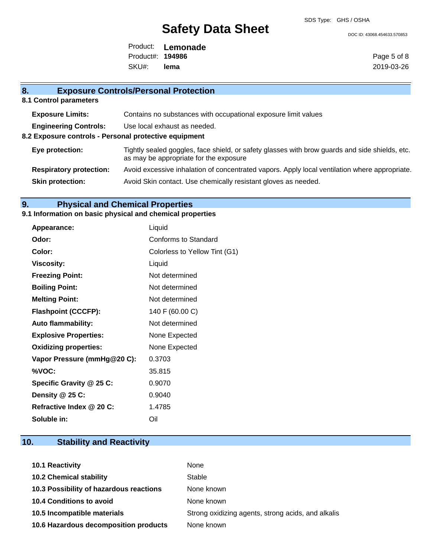DOC ID: 43068.454633.570853

Product: **Lemonade** SKU#: Product#: **194986 lema**

Page 5 of 8 2019-03-26

# **8. Exposure Controls/Personal Protection**

**8.1 Control parameters**

| <b>Exposure Limits:</b>                               | Contains no substances with occupational exposure limit values                                                                           |  |  |
|-------------------------------------------------------|------------------------------------------------------------------------------------------------------------------------------------------|--|--|
| <b>Engineering Controls:</b>                          | Use local exhaust as needed.                                                                                                             |  |  |
| 8.2 Exposure controls - Personal protective equipment |                                                                                                                                          |  |  |
| Eye protection:                                       | Tightly sealed goggles, face shield, or safety glasses with brow guards and side shields, etc.<br>as may be appropriate for the exposure |  |  |
| <b>Respiratory protection:</b>                        | Avoid excessive inhalation of concentrated vapors. Apply local ventilation where appropriate.                                            |  |  |
| <b>Skin protection:</b>                               | Avoid Skin contact. Use chemically resistant gloves as needed.                                                                           |  |  |
|                                                       |                                                                                                                                          |  |  |

# **9. Physical and Chemical Properties**

## **9.1 Information on basic physical and chemical properties**

| <b>Appearance:</b>           | Liquid                        |
|------------------------------|-------------------------------|
| Odor:                        | Conforms to Standard          |
| Color:                       | Colorless to Yellow Tint (G1) |
| <b>Viscosity:</b>            | Liquid                        |
| <b>Freezing Point:</b>       | Not determined                |
| <b>Boiling Point:</b>        | Not determined                |
| <b>Melting Point:</b>        | Not determined                |
| <b>Flashpoint (CCCFP):</b>   | 140 F (60.00 C)               |
| <b>Auto flammability:</b>    | Not determined                |
| <b>Explosive Properties:</b> | None Expected                 |
| <b>Oxidizing properties:</b> | None Expected                 |
| Vapor Pressure (mmHg@20 C):  | 0.3703                        |
| %VOC:                        | 35.815                        |
| Specific Gravity @ 25 C:     | 0.9070                        |
| Density $@25C$ :             | 0.9040                        |
| Refractive Index @ 20 C:     | 1.4785                        |
| Soluble in:                  | Oil                           |

# **10. Stability and Reactivity**

| <b>10.1 Reactivity</b>                  | None                                               |
|-----------------------------------------|----------------------------------------------------|
| <b>10.2 Chemical stability</b>          | Stable                                             |
| 10.3 Possibility of hazardous reactions | None known                                         |
| <b>10.4 Conditions to avoid</b>         | None known                                         |
| 10.5 Incompatible materials             | Strong oxidizing agents, strong acids, and alkalis |
| 10.6 Hazardous decomposition products   | None known                                         |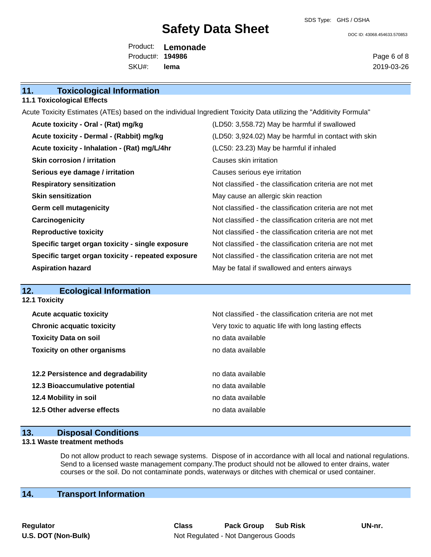SDS Type: GHS / OSHA

DOC ID: 43068.454633.570853

Product: **Lemonade** SKU#: Product#: **194986 lema**

Page 6 of 8 2019-03-26

## **11. Toxicological Information**

**11.1 Toxicological Effects**

Acute Toxicity Estimates (ATEs) based on the individual Ingredient Toxicity Data utilizing the "Additivity Formula"

| Acute toxicity - Oral - (Rat) mg/kg                | (LD50: 3,558.72) May be harmful if swallowed             |
|----------------------------------------------------|----------------------------------------------------------|
| Acute toxicity - Dermal - (Rabbit) mg/kg           | (LD50: 3,924.02) May be harmful in contact with skin     |
| Acute toxicity - Inhalation - (Rat) mg/L/4hr       | (LC50: 23.23) May be harmful if inhaled                  |
| <b>Skin corrosion / irritation</b>                 | Causes skin irritation                                   |
| Serious eye damage / irritation                    | Causes serious eye irritation                            |
| <b>Respiratory sensitization</b>                   | Not classified - the classification criteria are not met |
| <b>Skin sensitization</b>                          | May cause an allergic skin reaction                      |
| <b>Germ cell mutagenicity</b>                      | Not classified - the classification criteria are not met |
| Carcinogenicity                                    | Not classified - the classification criteria are not met |
| <b>Reproductive toxicity</b>                       | Not classified - the classification criteria are not met |
| Specific target organ toxicity - single exposure   | Not classified - the classification criteria are not met |
| Specific target organ toxicity - repeated exposure | Not classified - the classification criteria are not met |
| <b>Aspiration hazard</b>                           | May be fatal if swallowed and enters airways             |

#### **12. Ecological Information 12.1 Toxicity**

| <b>Acute acquatic toxicity</b>     | Not classified - the classification criteria are not met |  |  |
|------------------------------------|----------------------------------------------------------|--|--|
| <b>Chronic acquatic toxicity</b>   | Very toxic to aquatic life with long lasting effects     |  |  |
| <b>Toxicity Data on soil</b>       | no data available                                        |  |  |
| <b>Toxicity on other organisms</b> | no data available                                        |  |  |
|                                    |                                                          |  |  |
| 12.2 Persistence and degradability | no data available                                        |  |  |
| 12.3 Bioaccumulative potential     | no data available                                        |  |  |
| 12.4 Mobility in soil              | no data available                                        |  |  |
| 12.5 Other adverse effects         | no data available                                        |  |  |
|                                    |                                                          |  |  |

## **13. Disposal Conditions**

#### **13.1 Waste treatment methods**

Do not allow product to reach sewage systems. Dispose of in accordance with all local and national regulations. Send to a licensed waste management company.The product should not be allowed to enter drains, water courses or the soil. Do not contaminate ponds, waterways or ditches with chemical or used container.

# **14. Transport Information**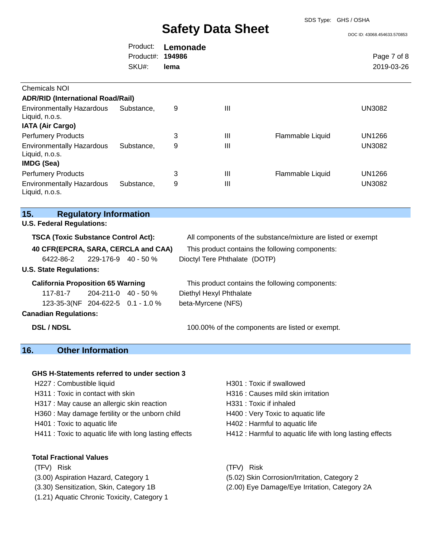SDS Type: GHS / OSHA

DOC ID: 43068.454633.570853

|                         | Product: Lemonade |             |
|-------------------------|-------------------|-------------|
| Product#: <b>194986</b> |                   | Page 7 of 8 |
| SKU#:                   | lema              | 2019-03-26  |

| <b>Chemicals NOI</b>                                                          |            |   |   |                  |               |
|-------------------------------------------------------------------------------|------------|---|---|------------------|---------------|
| <b>ADR/RID (International Road/Rail)</b>                                      |            |   |   |                  |               |
| <b>Environmentally Hazardous</b><br>Liquid, n.o.s.<br><b>IATA (Air Cargo)</b> | Substance. | 9 | Ш |                  | UN3082        |
| <b>Perfumery Products</b>                                                     |            | 3 | Ш | Flammable Liquid | UN1266        |
| <b>Environmentally Hazardous</b><br>Liquid, n.o.s.<br><b>IMDG (Sea)</b>       | Substance, | 9 | Ш |                  | <b>UN3082</b> |
| <b>Perfumery Products</b>                                                     |            | 3 | Ш | Flammable Liquid | UN1266        |
| <b>Environmentally Hazardous</b><br>Liquid, n.o.s.                            | Substance, | 9 | Ш |                  | <b>UN3082</b> |

## **15. Regulatory Information**

#### **U.S. Federal Regulations:**

| TSCA (Toxic Substance Control Act): | All components of the substance/mixture are listed or exempt |
|-------------------------------------|--------------------------------------------------------------|
|-------------------------------------|--------------------------------------------------------------|

**40 CFR(EPCRA, SARA, CERCLA and CAA)** This product contains the following components: 6422-86-2 229-176-9 40 - 50 % Dioctyl Tere Phthalate (DOTP)

### **U.S. State Regulations:**

117-81-7 204-211-0 40 - 50 % Diethyl Hexyl Phthalate 123-35-3(NF 204-622-5 0.1 - 1.0 % beta-Myrcene (NFS)

**California Proposition 65 Warning** This product contains the following components:

## **Canadian Regulations:**

**DSL / NDSL 100.00%** of the components are listed or exempt.

## **16. Other Information**

### **GHS H-Statements referred to under section 3**

- H227 : Combustible liquid H301 : Toxic if swallowed
- 
- H317 : May cause an allergic skin reaction **H331** : Toxic if inhaled
- H360 : May damage fertility or the unborn child H400 : Very Toxic to aquatic life
- 
- 

### **Total Fractional Values**

- 
- 
- 
- (1.21) Aquatic Chronic Toxicity, Category 1
- 
- H311 : Toxic in contact with skin H316 : Causes mild skin irritation
	-
	-
- H401 : Toxic to aquatic life H402 : Harmful to aquatic life
- H411 : Toxic to aquatic life with long lasting effects H412 : Harmful to aquatic life with long lasting effects
- (TFV) Risk (TFV) Risk
- (3.00) Aspiration Hazard, Category 1 (5.02) Skin Corrosion/Irritation, Category 2
- (3.30) Sensitization, Skin, Category 1B (2.00) Eye Damage/Eye Irritation, Category 2A